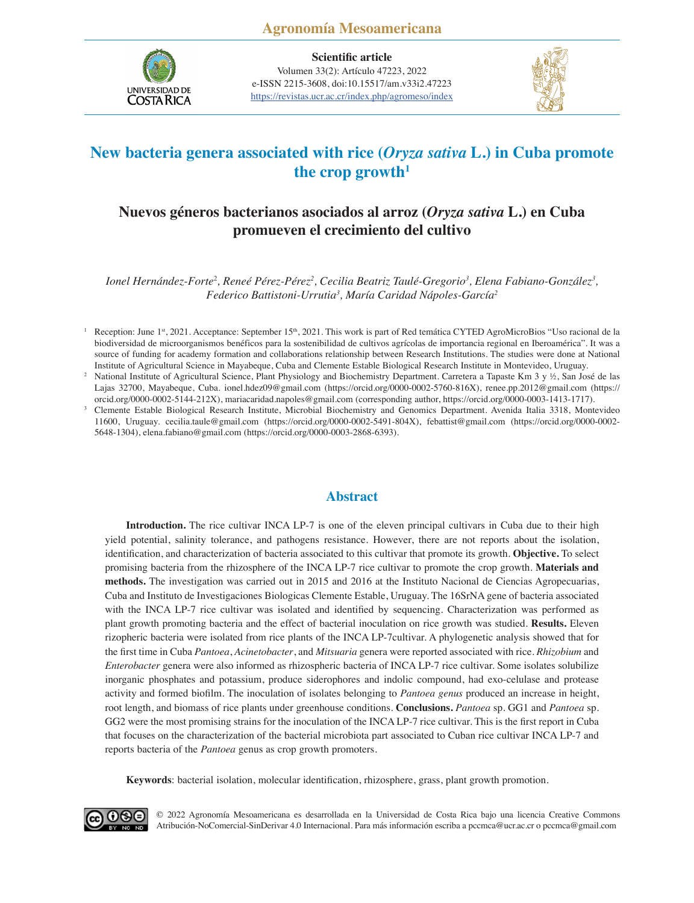

**Scientific article** Volumen 33(2): Artículo 47223, 2022 e-ISSN 2215-3608, doi:10.15517/am.v33i2.47223 <https://revistas.ucr.ac.cr/index.php/agromeso/index>



# **New bacteria genera associated with rice (***Oryza sativa* **L.) in Cuba promote**  the crop growth<sup>1</sup>

# **Nuevos géneros bacterianos asociados al arroz (***Oryza sativa* **L.) en Cuba promueven el crecimiento del cultivo**

*Ionel Hernández-Forte<sup>2</sup>, Reneé Pérez-Pérez<sup>2</sup>, Cecilia Beatriz Taulé-Gregorio<sup>3</sup>, Elena Fabiano-González<sup>3</sup>, Federico Battistoni-Urrutia3 , María Caridad Nápoles-García2*

<sup>1</sup> Reception: June 1<sup>st</sup>, 2021. Acceptance: September 15<sup>th</sup>, 2021. This work is part of Red temática CYTED AgroMicroBios "Uso racional de la biodiversidad de microorganismos benéficos para la sostenibilidad de cultivos agrícolas de importancia regional en Iberoamérica". It was a source of funding for academy formation and collaborations relationship between Research Institutions. The studies were done at National Institute of Agricultural Science in Mayabeque, Cuba and Clemente Estable Biological Research Institute in Montevideo, Uruguay.

<sup>2</sup> National Institute of Agricultural Science, Plant Physiology and Biochemistry Department. Carretera a Tapaste Km 3 y ½, San José de las Lajas 32700, Mayabeque, Cuba. ionel.hdez09@gmail.com (https://orcid.org/0000-0002-5760-816X), renee.pp.2012@gmail.com (https://

orcid.org/0000-0002-5144-212X), mariacaridad.napoles@gmail.com (corresponding author, https://orcid.org/0000-0003-1413-1717). <sup>3</sup> Clemente Estable Biological Research Institute, Microbial Biochemistry and Genomics Department. Avenida Italia 3318, Montevideo 11600, Uruguay. cecilia.taule@gmail.com (https://orcid.org/0000-0002-5491-804X), febattist@gmail.com (https://orcid.org/0000-0002- 5648-1304), elena.fabiano@gmail.com (https://orcid.org/0000-0003-2868-6393).

### **Abstract**

**Introduction.** The rice cultivar INCA LP-7 is one of the eleven principal cultivars in Cuba due to their high yield potential, salinity tolerance, and pathogens resistance. However, there are not reports about the isolation, identification, and characterization of bacteria associated to this cultivar that promote its growth. **Objective.** To select promising bacteria from the rhizosphere of the INCA LP-7 rice cultivar to promote the crop growth. **Materials and methods.** The investigation was carried out in 2015 and 2016 at the Instituto Nacional de Ciencias Agropecuarias, Cuba and Instituto de Investigaciones Biologicas Clemente Estable, Uruguay. The 16SrNA gene of bacteria associated with the INCA LP-7 rice cultivar was isolated and identified by sequencing. Characterization was performed as plant growth promoting bacteria and the effect of bacterial inoculation on rice growth was studied. **Results.** Eleven rizopheric bacteria were isolated from rice plants of the INCA LP-7cultivar. A phylogenetic analysis showed that for the first time in Cuba *Pantoea*, *Acinetobacter*, and *Mitsuaria* genera were reported associated with rice. *Rhizobium* and *Enterobacter* genera were also informed as rhizospheric bacteria of INCA LP-7 rice cultivar. Some isolates solubilize inorganic phosphates and potassium, produce siderophores and indolic compound, had exo-celulase and protease activity and formed biofilm. The inoculation of isolates belonging to *Pantoea genus* produced an increase in height, root length, and biomass of rice plants under greenhouse conditions. **Conclusions.** *Pantoea* sp. GG1 and *Pantoea* sp. GG2 were the most promising strains for the inoculation of the INCA LP-7 rice cultivar. This is the first report in Cuba that focuses on the characterization of the bacterial microbiota part associated to Cuban rice cultivar INCA LP-7 and reports bacteria of the *Pantoea* genus as crop growth promoters.

**Keywords**: bacterial isolation, molecular identification, rhizosphere, grass, plant growth promotion.



[© 2022 Agronomía Mesoamericana es desarrollada en la Universidad de Costa Rica bajo una licencia Creative Commons](https://creativecommons.org/licenses/by-nc-nd/4.0/)  Atribución-NoComercial-SinDerivar 4.0 Internacional. Para más información escriba a pccmca@ucr.ac.cr o pccmca@gmail.com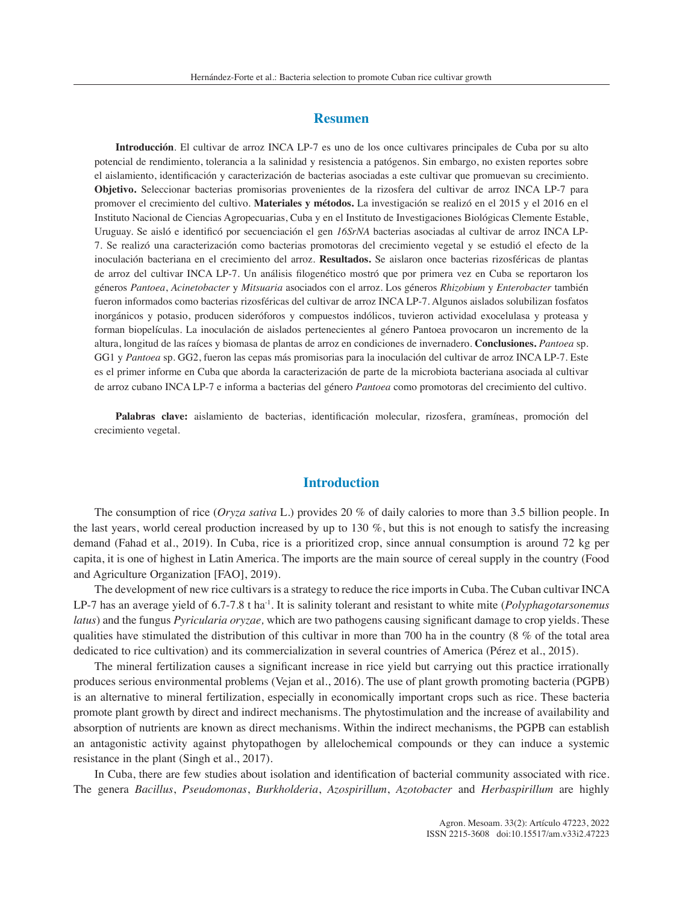### **Resumen**

**Introducción**. El cultivar de arroz INCA LP-7 es uno de los once cultivares principales de Cuba por su alto potencial de rendimiento, tolerancia a la salinidad y resistencia a patógenos. Sin embargo, no existen reportes sobre el aislamiento, identificación y caracterización de bacterias asociadas a este cultivar que promuevan su crecimiento. **Objetivo.** Seleccionar bacterias promisorias provenientes de la rizosfera del cultivar de arroz INCA LP-7 para promover el crecimiento del cultivo. **Materiales y métodos.** La investigación se realizó en el 2015 y el 2016 en el Instituto Nacional de Ciencias Agropecuarias, Cuba y en el Instituto de Investigaciones Biológicas Clemente Estable, Uruguay. Se aisló e identificó por secuenciación el gen *16SrNA* bacterias asociadas al cultivar de arroz INCA LP-7. Se realizó una caracterización como bacterias promotoras del crecimiento vegetal y se estudió el efecto de la inoculación bacteriana en el crecimiento del arroz. **Resultados.** Se aislaron once bacterias rizosféricas de plantas de arroz del cultivar INCA LP-7. Un análisis filogenético mostró que por primera vez en Cuba se reportaron los géneros *Pantoea*, *Acinetobacter* y *Mitsuaria* asociados con el arroz. Los géneros *Rhizobium* y *Enterobacter* también fueron informados como bacterias rizosféricas del cultivar de arroz INCA LP-7. Algunos aislados solubilizan fosfatos inorgánicos y potasio, producen sideróforos y compuestos indólicos, tuvieron actividad exocelulasa y proteasa y forman biopelículas. La inoculación de aislados pertenecientes al género Pantoea provocaron un incremento de la altura, longitud de las raíces y biomasa de plantas de arroz en condiciones de invernadero. **Conclusiones.** *Pantoea* sp. GG1 y *Pantoea* sp. GG2, fueron las cepas más promisorias para la inoculación del cultivar de arroz INCA LP-7. Este es el primer informe en Cuba que aborda la caracterización de parte de la microbiota bacteriana asociada al cultivar de arroz cubano INCA LP-7 e informa a bacterias del género *Pantoea* como promotoras del crecimiento del cultivo.

**Palabras clave:** aislamiento de bacterias, identificación molecular, rizosfera, gramíneas, promoción del crecimiento vegetal.

# **Introduction**

The consumption of rice (*Oryza sativa* L.) provides 20 % of daily calories to more than 3.5 billion people. In the last years, world cereal production increased by up to 130  $\%$ , but this is not enough to satisfy the increasing demand (Fahad et al., 2019). In Cuba, rice is a prioritized crop, since annual consumption is around 72 kg per capita, it is one of highest in Latin America. The imports are the main source of cereal supply in the country (Food and Agriculture Organization [FAO], 2019).

The development of new rice cultivars is a strategy to reduce the rice imports in Cuba. The Cuban cultivar INCA LP-7 has an average yield of 6.7-7.8 t ha-1. It is salinity tolerant and resistant to white mite (*Polyphagotarsonemus latus*) and the fungus *Pyricularia oryzae,* which are two pathogens causing significant damage to crop yields. These qualities have stimulated the distribution of this cultivar in more than 700 ha in the country (8 % of the total area dedicated to rice cultivation) and its commercialization in several countries of America (Pérez et al., 2015).

The mineral fertilization causes a significant increase in rice yield but carrying out this practice irrationally produces serious environmental problems (Vejan et al., 2016). The use of plant growth promoting bacteria (PGPB) is an alternative to mineral fertilization, especially in economically important crops such as rice. These bacteria promote plant growth by direct and indirect mechanisms. The phytostimulation and the increase of availability and absorption of nutrients are known as direct mechanisms. Within the indirect mechanisms, the PGPB can establish an antagonistic activity against phytopathogen by allelochemical compounds or they can induce a systemic resistance in the plant (Singh et al., 2017).

In Cuba, there are few studies about isolation and identification of bacterial community associated with rice. The genera *Bacillus*, *Pseudomonas*, *Burkholderia*, *Azospirillum*, *Azotobacter* and *Herbaspirillum* are highly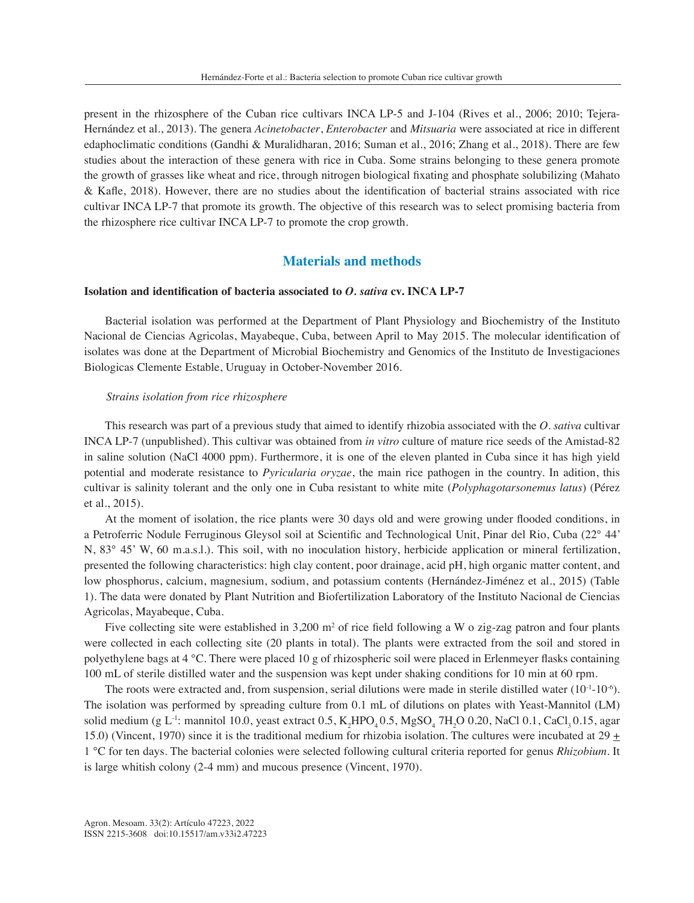present in the rhizosphere of the Cuban rice cultivars INCA LP-5 and J-104 (Rives et al., 2006; 2010; Tejera-Hernández et al., 2013). The genera *Acinetobacter*, *Enterobacter* and *Mitsuaria* were associated at rice in different edaphoclimatic conditions (Gandhi & Muralidharan, 2016; Suman et al., 2016; Zhang et al., 2018). There are few studies about the interaction of these genera with rice in Cuba. Some strains belonging to these genera promote the growth of grasses like wheat and rice, through nitrogen biological fixating and phosphate solubilizing (Mahato & Kafle, 2018). However, there are no studies about the identification of bacterial strains associated with rice cultivar INCA LP-7 that promote its growth. The objective of this research was to select promising bacteria from the rhizosphere rice cultivar INCA LP-7 to promote the crop growth.

# **Materials and methods**

### **Isolation and identification of bacteria associated to** *O. sativa* **cv. INCA LP-7**

Bacterial isolation was performed at the Department of Plant Physiology and Biochemistry of the Instituto Nacional de Ciencias Agricolas, Mayabeque, Cuba, between April to May 2015. The molecular identification of isolates was done at the Department of Microbial Biochemistry and Genomics of the Instituto de Investigaciones Biologicas Clemente Estable, Uruguay in October-November 2016.

### *Strains isolation from rice rhizosphere*

This research was part of a previous study that aimed to identify rhizobia associated with the *O. sativa* cultivar INCA LP-7 (unpublished). This cultivar was obtained from *in vitro* culture of mature rice seeds of the Amistad-82 in saline solution (NaCl 4000 ppm). Furthermore, it is one of the eleven planted in Cuba since it has high yield potential and moderate resistance to *Pyricularia oryzae*, the main rice pathogen in the country. In adition, this cultivar is salinity tolerant and the only one in Cuba resistant to white mite (*Polyphagotarsonemus latus*) (Pérez et al., 2015).

At the moment of isolation, the rice plants were 30 days old and were growing under flooded conditions, in a Petroferric Nodule Ferruginous Gleysol soil at Scientific and Technological Unit, Pinar del Rio, Cuba (22° 44' N, 83° 45' W, 60 m.a.s.l.). This soil, with no inoculation history, herbicide application or mineral fertilization, presented the following characteristics: high clay content, poor drainage, acid pH, high organic matter content, and low phosphorus, calcium, magnesium, sodium, and potassium contents (Hernández-Jiménez et al., 2015) (Table 1). The data were donated by Plant Nutrition and Biofertilization Laboratory of the Instituto Nacional de Ciencias Agricolas, Mayabeque, Cuba.

Five collecting site were established in  $3,200 \text{ m}^2$  of rice field following a W o zig-zag patron and four plants were collected in each collecting site (20 plants in total). The plants were extracted from the soil and stored in polyethylene bags at 4 °C. There were placed 10 g of rhizospheric soil were placed in Erlenmeyer flasks containing 100 mL of sterile distilled water and the suspension was kept under shaking conditions for 10 min at 60 rpm.

The roots were extracted and, from suspension, serial dilutions were made in sterile distilled water  $(10^{-1} \text{--} 10^{-6})$ . The isolation was performed by spreading culture from 0.1 mL of dilutions on plates with Yeast-Mannitol (LM) solid medium (g L<sup>-1</sup>: mannitol 10.0, yeast extract 0.5,  $K_2$ HPO<sub>4</sub> 0.5, MgSO<sub>4</sub> 7H<sub>2</sub>O 0.20, NaCl 0.1, CaCl<sub>3</sub> 0.15, agar 15.0) (Vincent, 1970) since it is the traditional medium for rhizobia isolation. The cultures were incubated at 29  $\pm$ 1 °C for ten days. The bacterial colonies were selected following cultural criteria reported for genus *Rhizobium*. It is large whitish colony (2-4 mm) and mucous presence (Vincent, 1970).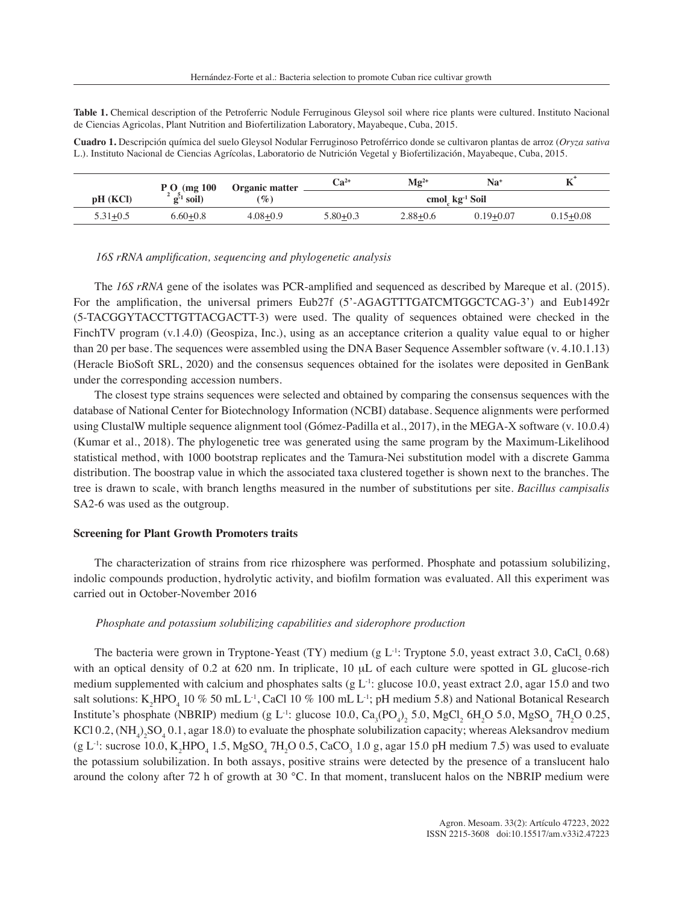**Table 1.** Chemical description of the Petroferric Nodule Ferruginous Gleysol soil where rice plants were cultured. Instituto Nacional de Ciencias Agricolas, Plant Nutrition and Biofertilization Laboratory, Mayabeque, Cuba, 2015.

**Cuadro 1.** Descripción química del suelo Gleysol Nodular Ferruginoso Petroférrico donde se cultivaron plantas de arroz (*Oryza sativa* L.). Instituto Nacional de Ciencias Agrícolas, Laboratorio de Nutrición Vegetal y Biofertilización, Mayabeque, Cuba, 2015.

|              | $P_{.}O_{.}$ (mg 100              | Organic matter | $Ca^{2+}$                  | $\mathbf{Mg}^{2+}$ | Na+           |               |  |  |  |
|--------------|-----------------------------------|----------------|----------------------------|--------------------|---------------|---------------|--|--|--|
| pH (KCI)     | $\frac{2}{9}$ $\frac{5}{1}$ soil) | $(\%)$         | cmol kg <sup>-1</sup> Soil |                    |               |               |  |  |  |
| $5.31 + 0.5$ | $6.60 + 0.8$                      | $4.08 + 0.9$   | $5.80 + 0.3$               | $2.88 + 0.6$       | $0.19 + 0.07$ | $0.15 + 0.08$ |  |  |  |

#### *16S rRNA amplification, sequencing and phylogenetic analysis*

The *16S rRNA* gene of the isolates was PCR-amplified and sequenced as described by Mareque et al. (2015). For the amplification, the universal primers Eub27f (5'-AGAGTTTGATCMTGGCTCAG-3') and Eub1492r (5-TACGGYTACCTTGTTACGACTT-3) were used. The quality of sequences obtained were checked in the FinchTV program (v.1.4.0) (Geospiza, Inc.), using as an acceptance criterion a quality value equal to or higher than 20 per base. The sequences were assembled using the DNA Baser Sequence Assembler software (v. 4.10.1.13) (Heracle BioSoft SRL, 2020) and the consensus sequences obtained for the isolates were deposited in GenBank under the corresponding accession numbers.

The closest type strains sequences were selected and obtained by comparing the consensus sequences with the database of National Center for Biotechnology Information (NCBI) database. Sequence alignments were performed using ClustalW multiple sequence alignment tool (Gómez-Padilla et al., 2017), in the MEGA-X software (v. 10.0.4) (Kumar et al., 2018). The phylogenetic tree was generated using the same program by the Maximum-Likelihood statistical method, with 1000 bootstrap replicates and the Tamura-Nei substitution model with a discrete Gamma distribution. The boostrap value in which the associated taxa clustered together is shown next to the branches. The tree is drawn to scale, with branch lengths measured in the number of substitutions per site. *Bacillus campisalis* SA2-6 was used as the outgroup.

#### **Screening for Plant Growth Promoters traits**

The characterization of strains from rice rhizosphere was performed. Phosphate and potassium solubilizing, indolic compounds production, hydrolytic activity, and biofilm formation was evaluated. All this experiment was carried out in October-November 2016

### *Phosphate and potassium solubilizing capabilities and siderophore production*

The bacteria were grown in Tryptone-Yeast (TY) medium (g  $L^{-1}$ : Tryptone 5.0, yeast extract 3.0, CaCl<sub>2</sub> 0.68) with an optical density of  $0.2$  at  $620$  nm. In triplicate,  $10 \mu L$  of each culture were spotted in GL glucose-rich medium supplemented with calcium and phosphates salts (g  $L^{-1}$ : glucose 10.0, yeast extract 2.0, agar 15.0 and two salt solutions:  $K_2HPO_4$  10 % 50 mL L<sup>-1</sup>, CaCl 10 % 100 mL L<sup>-1</sup>; pH medium 5.8) and National Botanical Research Institute's phosphate (NBRIP) medium (g L<sup>-1</sup>: glucose 10.0, Ca<sub>3</sub>(PO<sub>4</sub>)<sub>2</sub> 5.0, MgCl<sub>2</sub> 6H<sub>2</sub>O 5.0, MgSO<sub>4</sub> 7H<sub>2</sub>O 0.25, KCl 0.2,  $(NH_4)_2SO_4$  0.1, agar 18.0) to evaluate the phosphate solubilization capacity; whereas Aleksandrov medium (g L<sup>-1</sup>: sucrose 10.0, K<sub>2</sub>HPO<sub>4</sub> 1.5, MgSO<sub>4</sub> 7H<sub>2</sub>O 0.5, CaCO<sub>3</sub> 1.0 g, agar 15.0 pH medium 7.5) was used to evaluate the potassium solubilization. In both assays, positive strains were detected by the presence of a translucent halo around the colony after 72 h of growth at 30 °C. In that moment, translucent halos on the NBRIP medium were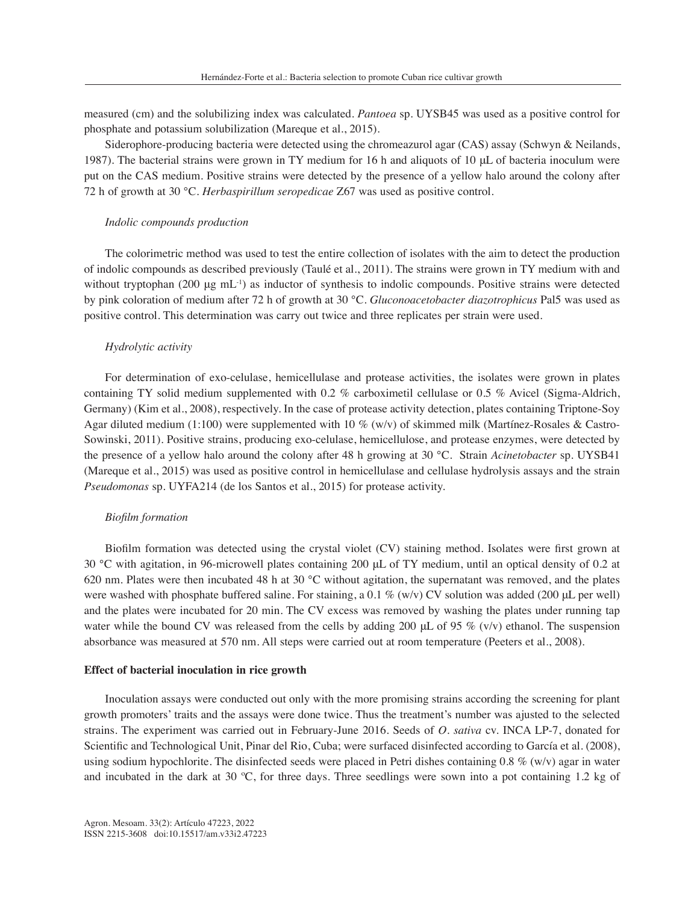measured (cm) and the solubilizing index was calculated. *Pantoea* sp. UYSB45 was used as a positive control for phosphate and potassium solubilization (Mareque et al., 2015).

Siderophore-producing bacteria were detected using the chromeazurol agar (CAS) assay (Schwyn & Neilands, 1987). The bacterial strains were grown in TY medium for 16 h and aliquots of 10 μL of bacteria inoculum were put on the CAS medium. Positive strains were detected by the presence of a yellow halo around the colony after 72 h of growth at 30 °C. *Herbaspirillum seropedicae* Z67 was used as positive control.

#### *Indolic compounds production*

The colorimetric method was used to test the entire collection of isolates with the aim to detect the production of indolic compounds as described previously (Taulé et al., 2011). The strains were grown in TY medium with and without tryptophan (200 μg mL<sup>-1</sup>) as inductor of synthesis to indolic compounds. Positive strains were detected by pink coloration of medium after 72 h of growth at 30 °C. *Gluconoacetobacter diazotrophicus* Pal5 was used as positive control. This determination was carry out twice and three replicates per strain were used.

### *Hydrolytic activity*

For determination of exo-celulase, hemicellulase and protease activities, the isolates were grown in plates containing TY solid medium supplemented with 0.2 % carboximetil cellulase or 0.5 % Avicel (Sigma-Aldrich, Germany) (Kim et al., 2008), respectively. In the case of protease activity detection, plates containing Triptone-Soy Agar diluted medium (1:100) were supplemented with 10 % (w/v) of skimmed milk (Martínez-Rosales & Castro-Sowinski, 2011). Positive strains, producing exo-celulase, hemicellulose, and protease enzymes, were detected by the presence of a yellow halo around the colony after 48 h growing at 30 °C. Strain *Acinetobacter* sp. UYSB41 (Mareque et al., 2015) was used as positive control in hemicellulase and cellulase hydrolysis assays and the strain *Pseudomonas* sp. UYFA214 (de los Santos et al., 2015) for protease activity.

#### *Biofilm formation*

Biofilm formation was detected using the crystal violet (CV) staining method. Isolates were first grown at 30 °C with agitation, in 96-microwell plates containing 200 μL of TY medium, until an optical density of 0.2 at 620 nm. Plates were then incubated 48 h at 30 °C without agitation, the supernatant was removed, and the plates were washed with phosphate buffered saline. For staining, a 0.1 % (w/v) CV solution was added (200 μL per well) and the plates were incubated for 20 min. The CV excess was removed by washing the plates under running tap water while the bound CV was released from the cells by adding 200  $\mu$ L of 95 % (v/v) ethanol. The suspension absorbance was measured at 570 nm. All steps were carried out at room temperature (Peeters et al., 2008).

#### **Effect of bacterial inoculation in rice growth**

Inoculation assays were conducted out only with the more promising strains according the screening for plant growth promoters' traits and the assays were done twice. Thus the treatment's number was ajusted to the selected strains. The experiment was carried out in February-June 2016. Seeds of *O. sativa* cv. INCA LP-7, donated for Scientific and Technological Unit, Pinar del Rio, Cuba; were surfaced disinfected according to García et al. (2008), using sodium hypochlorite. The disinfected seeds were placed in Petri dishes containing  $0.8\%$  (w/v) agar in water and incubated in the dark at 30 ºC, for three days. Three seedlings were sown into a pot containing 1.2 kg of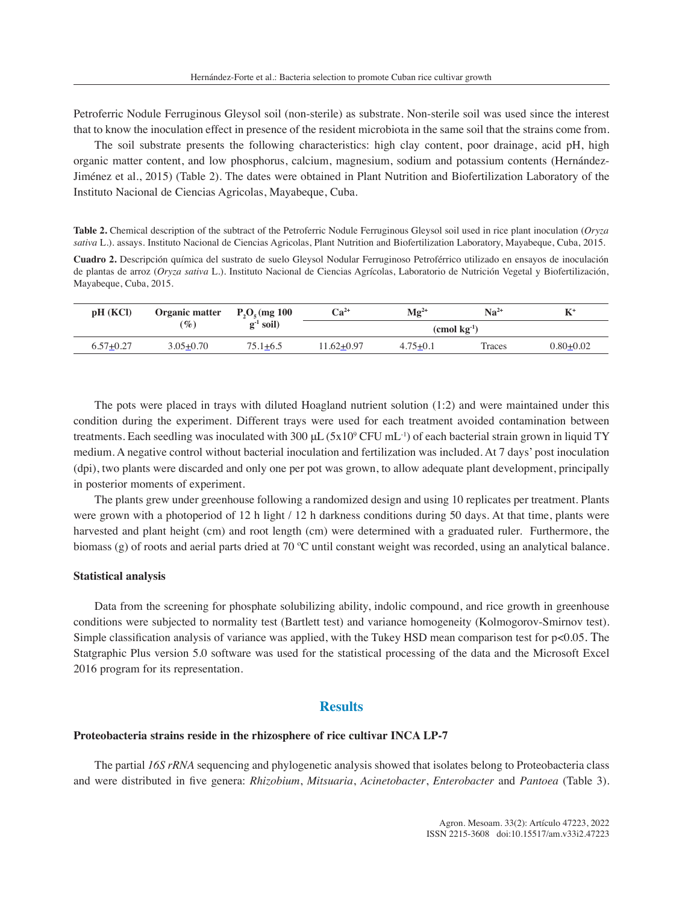Petroferric Nodule Ferruginous Gleysol soil (non-sterile) as substrate. Non-sterile soil was used since the interest that to know the inoculation effect in presence of the resident microbiota in the same soil that the strains come from.

The soil substrate presents the following characteristics: high clay content, poor drainage, acid pH, high organic matter content, and low phosphorus, calcium, magnesium, sodium and potassium contents (Hernández-Jiménez et al., 2015) (Table 2). The dates were obtained in Plant Nutrition and Biofertilization Laboratory of the Instituto Nacional de Ciencias Agricolas, Mayabeque, Cuba.

**Table 2.** Chemical description of the subtract of the Petroferric Nodule Ferruginous Gleysol soil used in rice plant inoculation (*Oryza sativa* L.). assays. Instituto Nacional de Ciencias Agricolas, Plant Nutrition and Biofertilization Laboratory, Mayabeque, Cuba, 2015.

**Cuadro 2.** Descripción química del sustrato de suelo Gleysol Nodular Ferruginoso Petroférrico utilizado en ensayos de inoculación de plantas de arroz (*Oryza sativa* L.). Instituto Nacional de Ciencias Agrícolas, Laboratorio de Nutrición Vegetal y Biofertilización, Mayabeque, Cuba, 2015.

| pH (KCl)      | Organic matter | $P_2O_{\epsilon}$ (mg 100 | $Ca2+$           | $\mathbf{Mg}^{2+}$ | $Na^{2+}$<br>$\mathbf{K}^+$ |               |  |
|---------------|----------------|---------------------------|------------------|--------------------|-----------------------------|---------------|--|
|               | $(\%)$         | $g^{-1}$ soil)            | $\pmod{kg^{-1}}$ |                    |                             |               |  |
| $6.57 + 0.27$ | $3.05 + 0.70$  | $75.1 + 6.5$              | 11.62+0.97       | $4.75 + 0.1$       | Traces                      | $0.80 + 0.02$ |  |

The pots were placed in trays with diluted Hoagland nutrient solution (1:2) and were maintained under this condition during the experiment. Different trays were used for each treatment avoided contamination between treatments. Each seedling was inoculated with 300  $\mu$ L (5x10<sup>o</sup> CFU mL<sup>-1</sup>) of each bacterial strain grown in liquid TY medium. A negative control without bacterial inoculation and fertilization was included. At 7 days' post inoculation (dpi), two plants were discarded and only one per pot was grown, to allow adequate plant development, principally in posterior moments of experiment.

The plants grew under greenhouse following a randomized design and using 10 replicates per treatment. Plants were grown with a photoperiod of 12 h light / 12 h darkness conditions during 50 days. At that time, plants were harvested and plant height (cm) and root length (cm) were determined with a graduated ruler. Furthermore, the biomass  $(g)$  of roots and aerial parts dried at 70 °C until constant weight was recorded, using an analytical balance.

#### **Statistical analysis**

Data from the screening for phosphate solubilizing ability, indolic compound, and rice growth in greenhouse conditions were subjected to normality test (Bartlett test) and variance homogeneity (Kolmogorov-Smirnov test). Simple classification analysis of variance was applied, with the Tukey HSD mean comparison test for  $p<0.05$ . The Statgraphic Plus version 5.0 software was used for the statistical processing of the data and the Microsoft Excel 2016 program for its representation.

### **Results**

### **Proteobacteria strains reside in the rhizosphere of rice cultivar INCA LP-7**

The partial *16S rRNA* sequencing and phylogenetic analysis showed that isolates belong to Proteobacteria class and were distributed in five genera: *Rhizobium*, *Mitsuaria*, *Acinetobacter*, *Enterobacter* and *Pantoea* (Table 3).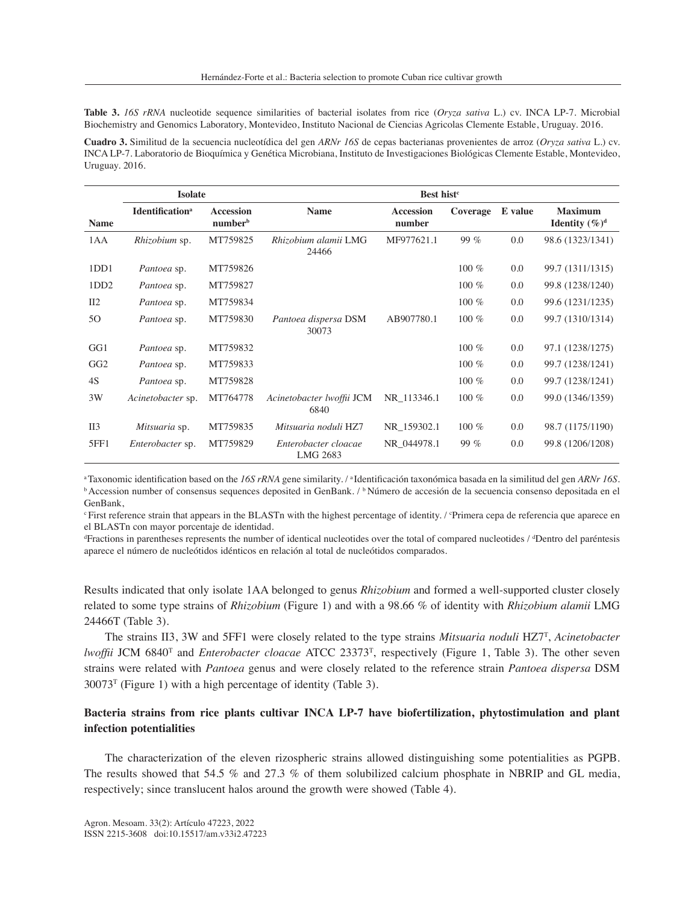**Table 3.** *16S rRNA* nucleotide sequence similarities of bacterial isolates from rice (*Oryza sativa* L.) cv. INCA LP-7. Microbial Biochemistry and Genomics Laboratory, Montevideo, Instituto Nacional de Ciencias Agricolas Clemente Estable, Uruguay. 2016.

**Cuadro 3.** Similitud de la secuencia nucleotídica del gen *ARNr 16S* de cepas bacterianas provenientes de arroz (*Oryza sativa* L.) cv. INCA LP-7. Laboratorio de Bioquímica y Genética Microbiana, Instituto de Investigaciones Biológicas Clemente Estable, Montevideo, Uruguay. 2016.

|                  | <b>Isolate</b>                                                                |          |                                           |             |          |         |                                     |  |
|------------------|-------------------------------------------------------------------------------|----------|-------------------------------------------|-------------|----------|---------|-------------------------------------|--|
| <b>Name</b>      | <b>Identification</b> <sup>a</sup><br><b>Accession</b><br>number <sup>b</sup> |          | <b>Name</b><br><b>Accession</b><br>number |             | Coverage | E value | <b>Maximum</b><br>Identity $(\%)^d$ |  |
| 1AA              | <i>Rhizobium</i> sp.                                                          | MT759825 | Rhizobium alamii LMG<br>24466             | MF977621.1  | 99 $%$   | 0.0     | 98.6 (1323/1341)                    |  |
| 1DD1             | Pantoea sp.                                                                   | MT759826 |                                           |             | $100\%$  | 0.0     | 99.7 (1311/1315)                    |  |
| 1DD <sub>2</sub> | Pantoea sp.                                                                   | MT759827 |                                           |             | $100\%$  | 0.0     | 99.8 (1238/1240)                    |  |
| II2              | Pantoea sp.                                                                   | MT759834 |                                           |             | 100 $%$  | 0.0     | 99.6 (1231/1235)                    |  |
| 50               | Pantoea sp.                                                                   | MT759830 | Pantoea dispersa DSM<br>30073             | AB907780.1  | $100\%$  | 0.0     | 99.7 (1310/1314)                    |  |
| GG1              | Pantoea sp.                                                                   | MT759832 |                                           |             | $100\%$  | 0.0     | 97.1 (1238/1275)                    |  |
| GG <sub>2</sub>  | Pantoea sp.                                                                   | MT759833 |                                           |             | $100\%$  | 0.0     | 99.7 (1238/1241)                    |  |
| 4S               | Pantoea sp.                                                                   | MT759828 |                                           |             | $100\%$  | 0.0     | 99.7 (1238/1241)                    |  |
| 3W               | Acinetobacter sp.                                                             | MT764778 | Acinetobacter lwoffii JCM<br>6840         | NR 113346.1 | $100\%$  | 0.0     | 99.0 (1346/1359)                    |  |
| $II3$            | Mitsuaria sp.                                                                 | MT759835 | Mitsuaria noduli HZ7                      | NR_159302.1 | 100 $%$  | 0.0     | 98.7 (1175/1190)                    |  |
| 5FF1             | Enterobacter sp.                                                              | MT759829 | Enterobacter cloacae<br>LMG 2683          | NR 044978.1 | 99 %     | 0.0     | 99.8 (1206/1208)                    |  |

aTaxonomic identification based on the 16S rRNA gene similarity. / <sup>a</sup>Identificación taxonómica basada en la similitud del gen ARNr 16S. <sup>b</sup>Accession number of consensus sequences deposited in GenBank. / <sup>b</sup>Número de accesión de la secuencia consenso depositada en el GenBank,

First reference strain that appears in the BLASTn with the highest percentage of identity. / Primera cepa de referencia que aparece en el BLASTn con mayor porcentaje de identidad.

d Fractions in parentheses represents the number of identical nucleotides over the total of compared nucleotides / <sup>d</sup> Dentro del paréntesis aparece el número de nucleótidos idénticos en relación al total de nucleótidos comparados.

Results indicated that only isolate 1AA belonged to genus *Rhizobium* and formed a well-supported cluster closely related to some type strains of *Rhizobium* (Figure 1) and with a 98.66 % of identity with *Rhizobium alamii* LMG 24466T (Table 3).

The strains II3, 3W and 5FF1 were closely related to the type strains *Mitsuaria noduli* HZ7<sup>T</sup> , *Acinetobacter lwoffii* JCM 6840<sup>T</sup> and *Enterobacter cloacae* ATCC 23373<sup>T</sup>, respectively (Figure 1, Table 3). The other seven strains were related with *Pantoea* genus and were closely related to the reference strain *Pantoea dispersa* DSM  $30073<sup>T</sup>$  (Figure 1) with a high percentage of identity (Table 3).

# **Bacteria strains from rice plants cultivar INCA LP-7 have biofertilization, phytostimulation and plant infection potentialities**

The characterization of the eleven rizospheric strains allowed distinguishing some potentialities as PGPB. The results showed that 54.5 % and 27.3 % of them solubilized calcium phosphate in NBRIP and GL media, respectively; since translucent halos around the growth were showed (Table 4).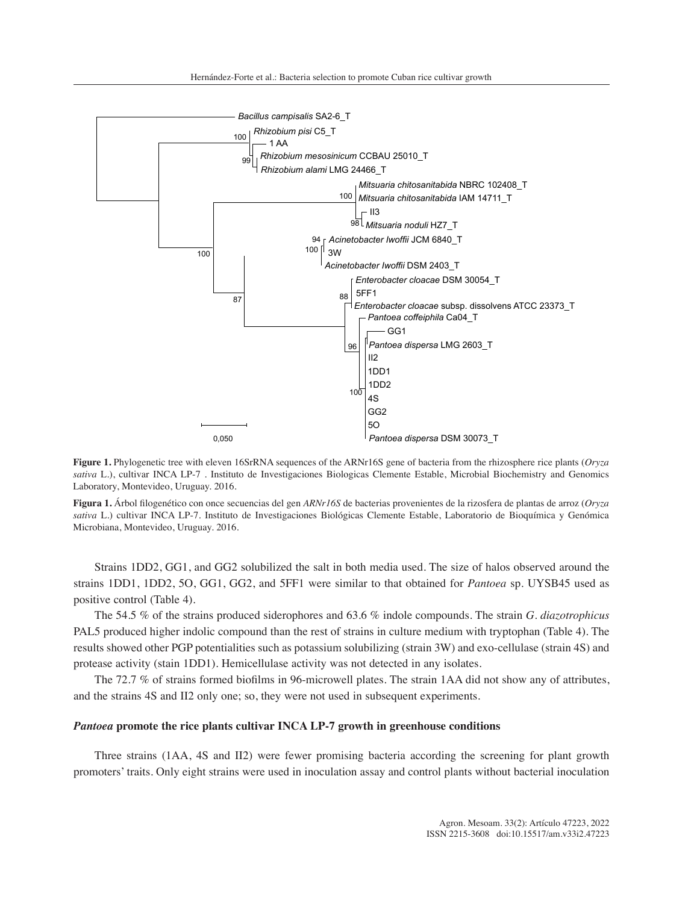

**Figure 1.** Phylogenetic tree with eleven 16SrRNA sequences of the ARNr16S gene of bacteria from the rhizosphere rice plants (*Oryza sativa* L.), cultivar INCA LP-7. Instituto de Investigaciones Biologicas Clemente Estable, Microbial Biochemistry and Genomics Laboratory, Montevideo, Uruguay. 2016.

**Figura 1.** Árbol filogenético con once secuencias del gen *ARNr16S* de bacterias provenientes de la rizosfera de plantas de arroz (*Oryza sativa* L.) cultivar INCA LP-7. Instituto de Investigaciones Biológicas Clemente Estable, Laboratorio de Bioquímica y Genómica Microbiana, Montevideo, Uruguay. 2016.

Strains 1DD2, GG1, and GG2 solubilized the salt in both media used. The size of halos observed around the strains 1DD1, 1DD2, 5O, GG1, GG2, and 5FF1 were similar to that obtained for *Pantoea* sp. UYSB45 used as positive control (Table 4).

The 54.5 % of the strains produced siderophores and 63.6 % indole compounds. The strain *G. diazotrophicus* PAL5 produced higher indolic compound than the rest of strains in culture medium with tryptophan (Table 4). The results showed other PGP potentialities such as potassium solubilizing (strain 3W) and exo-cellulase (strain 4S) and protease activity (stain 1DD1). Hemicellulase activity was not detected in any isolates.

The 72.7 % of strains formed biofilms in 96-microwell plates. The strain 1AA did not show any of attributes, and the strains 4S and II2 only one; so, they were not used in subsequent experiments.

### *Pantoea* **promote the rice plants cultivar INCA LP-7 growth in greenhouse conditions**

Three strains (1AA, 4S and II2) were fewer promising bacteria according the screening for plant growth promoters' traits. Only eight strains were used in inoculation assay and control plants without bacterial inoculation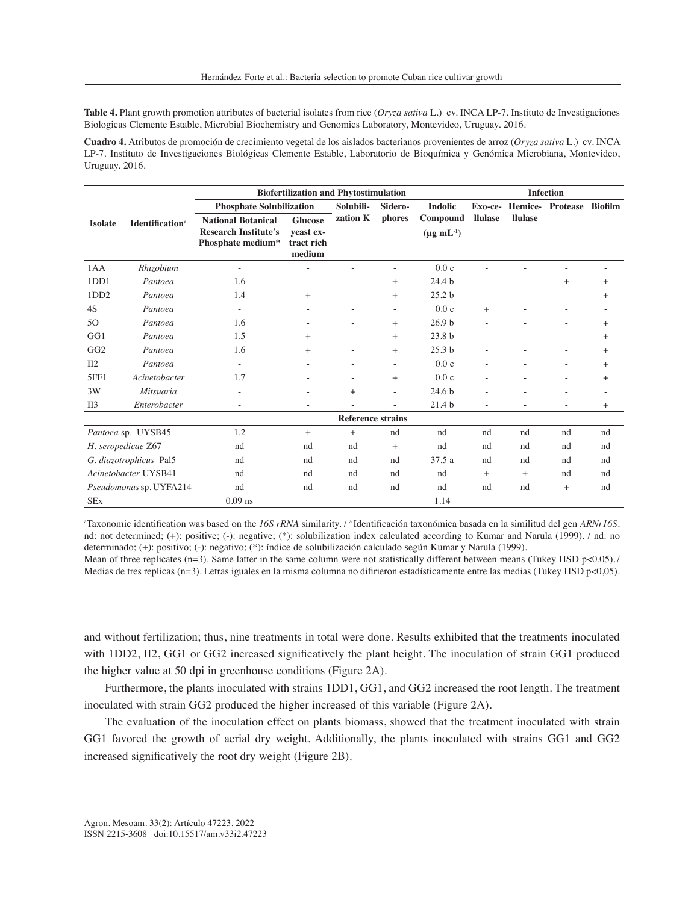**Table 4.** Plant growth promotion attributes of bacterial isolates from rice (*Oryza sativa* L.) cv. INCA LP-7. Instituto de Investigaciones Biologicas Clemente Estable, Microbial Biochemistry and Genomics Laboratory, Montevideo, Uruguay. 2016.

**Cuadro 4.** Atributos de promoción de crecimiento vegetal de los aislados bacterianos provenientes de arroz (*Oryza sativa* L.) cv. INCA LP-7. Instituto de Investigaciones Biológicas Clemente Estable, Laboratorio de Bioquímica y Genómica Microbiana, Montevideo, Uruguay. 2016.

|                         |                                    |                                                                               | <b>Biofertilization and Phytostimulation</b>        |                          |                          |                                       |                | <b>Infection</b> |                          |        |  |  |
|-------------------------|------------------------------------|-------------------------------------------------------------------------------|-----------------------------------------------------|--------------------------|--------------------------|---------------------------------------|----------------|------------------|--------------------------|--------|--|--|
|                         | <b>Identification</b> <sup>a</sup> | <b>Phosphate Solubilization</b>                                               |                                                     | Solubili-                | Sidero-                  | <b>Indolic</b>                        | Exo-ce-        |                  | Hemice- Protease Biofilm |        |  |  |
| <b>Isolate</b>          |                                    | <b>National Botanical</b><br><b>Research Institute's</b><br>Phosphate medium* | <b>Glucose</b><br>veast ex-<br>tract rich<br>medium | zation K                 | phores                   | Compound<br>$(\mu g \text{ mL}^{-1})$ | <b>llulase</b> | <b>Ilulase</b>   |                          |        |  |  |
| 1AA                     | Rhizobium                          |                                                                               |                                                     |                          |                          | 0.0c                                  |                |                  |                          |        |  |  |
| 1DD1                    | Pantoea                            | 1.6                                                                           |                                                     |                          | $+$                      | 24.4 b                                |                |                  | $+$                      | $^{+}$ |  |  |
| 1DD <sub>2</sub>        | Pantoea                            | 1.4                                                                           | $^{+}$                                              |                          | $^{+}$                   | 25.2 <sub>b</sub>                     |                |                  |                          | $^{+}$ |  |  |
| 4S                      | Pantoea                            | $\equiv$                                                                      |                                                     |                          | $\overline{\phantom{m}}$ | 0.0c                                  | $^{+}$         |                  |                          |        |  |  |
| 50                      | Pantoea                            | 1.6                                                                           |                                                     |                          | $+$                      | 26.9 <sub>b</sub>                     |                |                  | ٠                        | $^{+}$ |  |  |
| GG1                     | Pantoea                            | 1.5                                                                           | $+$                                                 |                          | $+$                      | 23.8 b                                |                |                  | $\overline{a}$           | $^{+}$ |  |  |
| GG <sub>2</sub>         | Pantoea                            | 1.6                                                                           | $+$                                                 |                          | $^{+}$                   | 25.3 <sub>b</sub>                     |                |                  | ٠                        | $^{+}$ |  |  |
| II2                     | Pantoea                            | $\overline{a}$                                                                |                                                     |                          | $\sim$                   | 0.0c                                  |                |                  | $\overline{a}$           | $^{+}$ |  |  |
| 5FF1                    | Acinetobacter                      | 1.7                                                                           |                                                     |                          | $+$                      | 0.0c                                  |                |                  | ٠                        | $^{+}$ |  |  |
| 3W                      | Mitsuaria                          |                                                                               |                                                     | $^{+}$                   | $\equiv$                 | 24.6 <sub>b</sub>                     |                |                  |                          |        |  |  |
| II3                     | Enterobacter                       | $\equiv$                                                                      | $\qquad \qquad -$                                   |                          |                          | 21.4 b                                | $\sim$         | ٠                | $\equiv$                 | $^{+}$ |  |  |
|                         |                                    |                                                                               |                                                     | <b>Reference strains</b> |                          |                                       |                |                  |                          |        |  |  |
| Pantoea sp. UYSB45      |                                    | 1.2                                                                           | $+$                                                 | $+$                      | nd                       | nd                                    | nd             | nd               | nd                       | nd     |  |  |
| H. seropedicae Z67      |                                    | nd                                                                            | nd                                                  | nd                       | $^{+}$                   | nd                                    | nd             | nd               | nd                       | nd     |  |  |
| G. diazotrophicus Pal5  |                                    | nd                                                                            | nd                                                  | nd                       | nd                       | 37.5a                                 | nd             | nd               | nd                       | nd     |  |  |
| Acinetobacter UYSB41    |                                    | nd                                                                            | nd                                                  | nd                       | nd                       | nd                                    | $+$            | $+$              | nd                       | nd     |  |  |
| Pseudomonas sp. UYFA214 |                                    | nd                                                                            | nd                                                  | nd                       | nd                       | nd                                    | nd             | nd               | $+$                      | nd     |  |  |
| <b>SEx</b>              |                                    | $0.09$ ns                                                                     |                                                     |                          |                          | 1.14                                  |                |                  |                          |        |  |  |

a Taxonomic identification was based on the *16S rRNA* similarity. / <sup>a</sup>Identificación taxonómica basada en la similitud del gen *ARNr16S*. nd: not determined; (+): positive; (-): negative; (\*): solubilization index calculated according to Kumar and Narula (1999). / nd: no determinado; (+): positivo; (-): negativo; (\*): índice de solubilización calculado según Kumar y Narula (1999).

Mean of three replicates (n=3). Same latter in the same column were not statistically different between means (Tukey HSD p<0.05). / Medias de tres replicas (n=3). Letras iguales en la misma columna no difirieron estadísticamente entre las medias (Tukey HSD p<0,05).

and without fertilization; thus, nine treatments in total were done. Results exhibited that the treatments inoculated with 1DD2, II2, GG1 or GG2 increased significatively the plant height. The inoculation of strain GG1 produced the higher value at 50 dpi in greenhouse conditions (Figure 2A).

Furthermore, the plants inoculated with strains 1DD1, GG1, and GG2 increased the root length. The treatment inoculated with strain GG2 produced the higher increased of this variable (Figure 2A).

The evaluation of the inoculation effect on plants biomass, showed that the treatment inoculated with strain GG1 favored the growth of aerial dry weight. Additionally, the plants inoculated with strains GG1 and GG2 increased significatively the root dry weight (Figure 2B).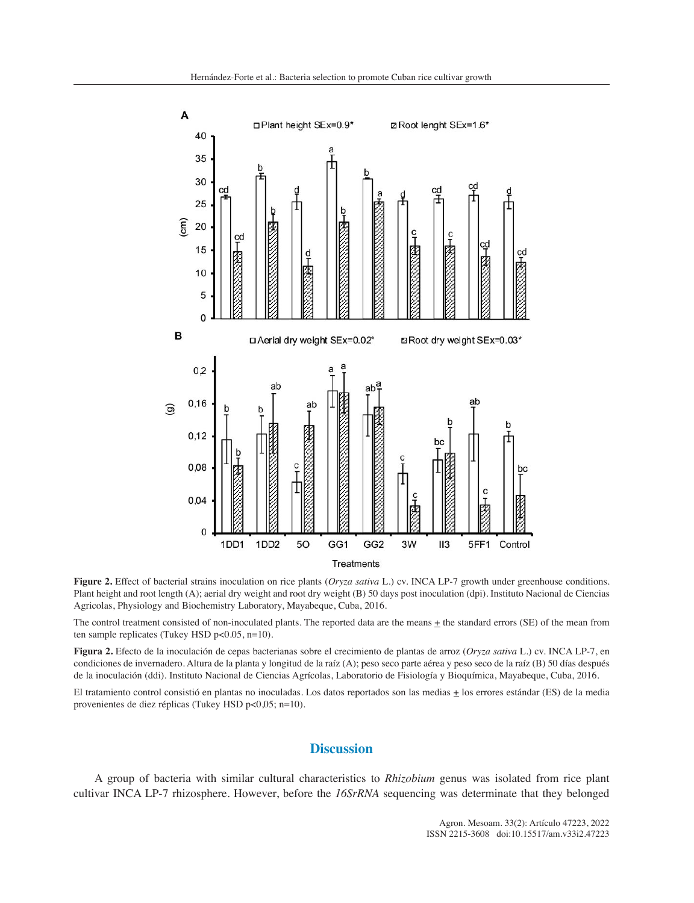

**Figure 2.** Effect of bacterial strains inoculation on rice plants (*Oryza sativa* L.) cv. INCA LP-7 growth under greenhouse conditions. Plant height and root length (A); aerial dry weight and root dry weight (B) 50 days post inoculation (dpi). Instituto Nacional de Ciencias Agricolas, Physiology and Biochemistry Laboratory, Mayabeque, Cuba, 2016.

The control treatment consisted of non-inoculated plants. The reported data are the means  $\pm$  the standard errors (SE) of the mean from ten sample replicates (Tukey HSD p<0.05, n=10).

**Figura 2.** Efecto de la inoculación de cepas bacterianas sobre el crecimiento de plantas de arroz (*Oryza sativa* L.) cv. INCA LP-7, en condiciones de invernadero. Altura de la planta y longitud de la raíz (A); peso seco parte aérea y peso seco de la raíz (B) 50 días después de la inoculación (ddi). Instituto Nacional de Ciencias Agrícolas, Laboratorio de Fisiología y Bioquímica, Mayabeque, Cuba, 2016.

El tratamiento control consistió en plantas no inoculadas. Los datos reportados son las medias ± los errores estándar (ES) de la media provenientes de diez réplicas (Tukey HSD p<0,05; n=10).

# **Discussion**

A group of bacteria with similar cultural characteristics to *Rhizobium* genus was isolated from rice plant cultivar INCA LP-7 rhizosphere. However, before the *16SrRNA* sequencing was determinate that they belonged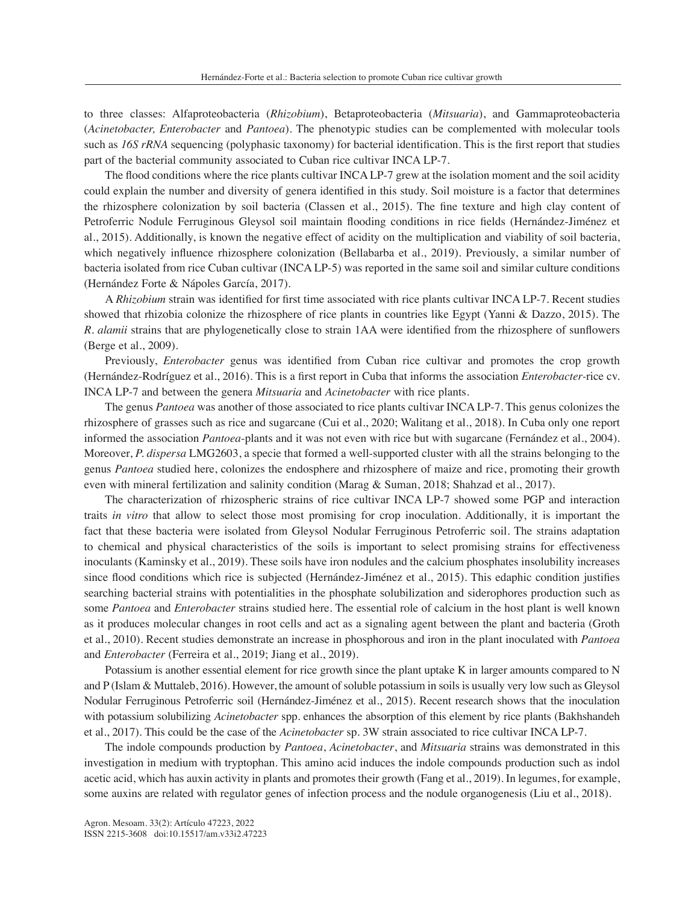to three classes: Alfaproteobacteria (*Rhizobium*), Betaproteobacteria (*Mitsuaria*), and Gammaproteobacteria (*Acinetobacter, Enterobacter* and *Pantoea*). The phenotypic studies can be complemented with molecular tools such as *16S rRNA* sequencing (polyphasic taxonomy) for bacterial identification. This is the first report that studies part of the bacterial community associated to Cuban rice cultivar INCA LP-7.

The flood conditions where the rice plants cultivar INCA LP-7 grew at the isolation moment and the soil acidity could explain the number and diversity of genera identified in this study. Soil moisture is a factor that determines the rhizosphere colonization by soil bacteria (Classen et al., 2015). The fine texture and high clay content of Petroferric Nodule Ferruginous Gleysol soil maintain flooding conditions in rice fields (Hernández-Jiménez et al., 2015). Additionally, is known the negative effect of acidity on the multiplication and viability of soil bacteria, which negatively influence rhizosphere colonization (Bellabarba et al., 2019). Previously, a similar number of bacteria isolated from rice Cuban cultivar (INCA LP-5) was reported in the same soil and similar culture conditions (Hernández Forte & Nápoles García, 2017).

A *Rhizobium* strain was identified for first time associated with rice plants cultivar INCA LP-7. Recent studies showed that rhizobia colonize the rhizosphere of rice plants in countries like Egypt (Yanni & Dazzo, 2015). The *R. alamii* strains that are phylogenetically close to strain 1AA were identified from the rhizosphere of sunflowers (Berge et al., 2009).

Previously, *Enterobacter* genus was identified from Cuban rice cultivar and promotes the crop growth (Hernández-Rodríguez et al., 2016). This is a first report in Cuba that informs the association *Enterobacter-*rice cv. INCA LP-7 and between the genera *Mitsuaria* and *Acinetobacter* with rice plants.

The genus *Pantoea* was another of those associated to rice plants cultivar INCA LP-7. This genus colonizes the rhizosphere of grasses such as rice and sugarcane (Cui et al., 2020; Walitang et al., 2018). In Cuba only one report informed the association *Pantoea*-plants and it was not even with rice but with sugarcane (Fernández et al., 2004). Moreover, *P. dispersa* LMG2603, a specie that formed a well-supported cluster with all the strains belonging to the genus *Pantoea* studied here, colonizes the endosphere and rhizosphere of maize and rice, promoting their growth even with mineral fertilization and salinity condition (Marag & Suman, 2018; Shahzad et al., 2017).

The characterization of rhizospheric strains of rice cultivar INCA LP-7 showed some PGP and interaction traits *in vitro* that allow to select those most promising for crop inoculation. Additionally, it is important the fact that these bacteria were isolated from Gleysol Nodular Ferruginous Petroferric soil. The strains adaptation to chemical and physical characteristics of the soils is important to select promising strains for effectiveness inoculants (Kaminsky et al., 2019). These soils have iron nodules and the calcium phosphates insolubility increases since flood conditions which rice is subjected (Hernández-Jiménez et al., 2015). This edaphic condition justifies searching bacterial strains with potentialities in the phosphate solubilization and siderophores production such as some *Pantoea* and *Enterobacter* strains studied here. The essential role of calcium in the host plant is well known as it produces molecular changes in root cells and act as a signaling agent between the plant and bacteria (Groth et al., 2010). Recent studies demonstrate an increase in phosphorous and iron in the plant inoculated with *Pantoea* and *Enterobacter* (Ferreira et al., 2019; Jiang et al., 2019).

Potassium is another essential element for rice growth since the plant uptake K in larger amounts compared to N and P (Islam & Muttaleb, 2016). However, the amount of soluble potassium in soils is usually very low such as Gleysol Nodular Ferruginous Petroferric soil (Hernández-Jiménez et al., 2015). Recent research shows that the inoculation with potassium solubilizing *Acinetobacter* spp. enhances the absorption of this element by rice plants (Bakhshandeh et al., 2017). This could be the case of the *Acinetobacter* sp. 3W strain associated to rice cultivar INCA LP-7.

The indole compounds production by *Pantoea*, *Acinetobacter*, and *Mitsuaria* strains was demonstrated in this investigation in medium with tryptophan. This amino acid induces the indole compounds production such as indol acetic acid, which has auxin activity in plants and promotes their growth (Fang et al., 2019). In legumes, for example, some auxins are related with regulator genes of infection process and the nodule organogenesis (Liu et al., 2018).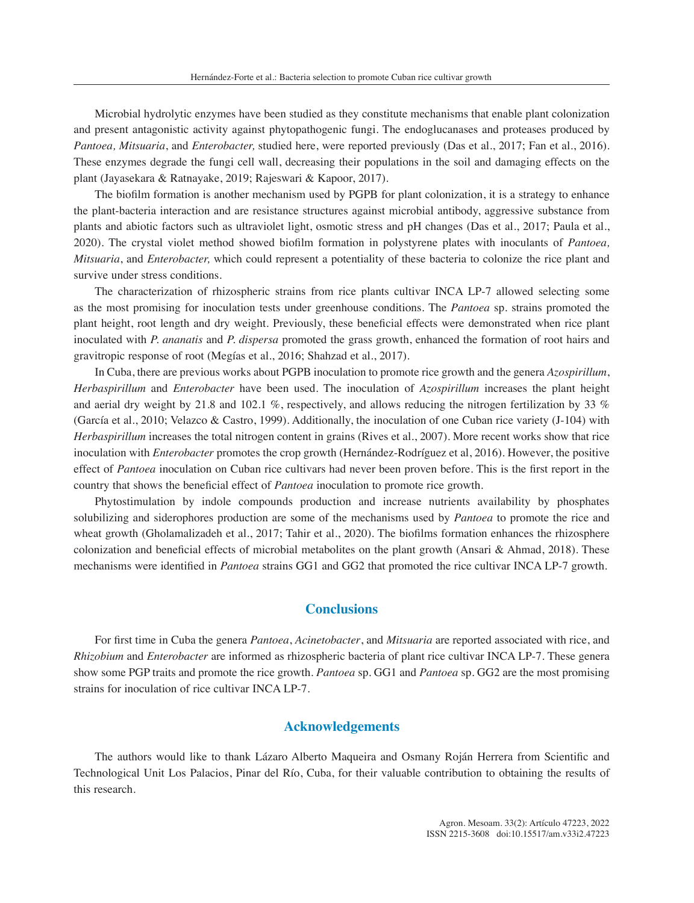Microbial hydrolytic enzymes have been studied as they constitute mechanisms that enable plant colonization and present antagonistic activity against phytopathogenic fungi. The endoglucanases and proteases produced by *Pantoea, Mitsuaria*, and *Enterobacter,* studied here, were reported previously (Das et al., 2017; Fan et al., 2016). These enzymes degrade the fungi cell wall, decreasing their populations in the soil and damaging effects on the plant (Jayasekara & Ratnayake, 2019; Rajeswari & Kapoor, 2017).

The biofilm formation is another mechanism used by PGPB for plant colonization, it is a strategy to enhance the plant-bacteria interaction and are resistance structures against microbial antibody, aggressive substance from plants and abiotic factors such as ultraviolet light, osmotic stress and pH changes (Das et al., 2017; Paula et al., 2020). The crystal violet method showed biofilm formation in polystyrene plates with inoculants of *Pantoea, Mitsuaria*, and *Enterobacter,* which could represent a potentiality of these bacteria to colonize the rice plant and survive under stress conditions.

The characterization of rhizospheric strains from rice plants cultivar INCA LP-7 allowed selecting some as the most promising for inoculation tests under greenhouse conditions. The *Pantoea* sp. strains promoted the plant height, root length and dry weight. Previously, these beneficial effects were demonstrated when rice plant inoculated with *P. ananatis* and *P. dispersa* promoted the grass growth, enhanced the formation of root hairs and gravitropic response of root (Megías et al., 2016; Shahzad et al., 2017).

In Cuba, there are previous works about PGPB inoculation to promote rice growth and the genera *Azospirillum*, *Herbaspirillum* and *Enterobacter* have been used. The inoculation of *Azospirillum* increases the plant height and aerial dry weight by 21.8 and 102.1 %, respectively, and allows reducing the nitrogen fertilization by 33 % (García et al., 2010; Velazco & Castro, 1999). Additionally, the inoculation of one Cuban rice variety (J-104) with *Herbaspirillum* increases the total nitrogen content in grains (Rives et al., 2007). More recent works show that rice inoculation with *Enterobacter* promotes the crop growth (Hernández-Rodríguez et al, 2016). However, the positive effect of *Pantoea* inoculation on Cuban rice cultivars had never been proven before. This is the first report in the country that shows the beneficial effect of *Pantoea* inoculation to promote rice growth.

Phytostimulation by indole compounds production and increase nutrients availability by phosphates solubilizing and siderophores production are some of the mechanisms used by *Pantoea* to promote the rice and wheat growth (Gholamalizadeh et al., 2017; Tahir et al., 2020). The biofilms formation enhances the rhizosphere colonization and beneficial effects of microbial metabolites on the plant growth (Ansari & Ahmad, 2018). These mechanisms were identified in *Pantoea* strains GG1 and GG2 that promoted the rice cultivar INCA LP-7 growth.

# **Conclusions**

For first time in Cuba the genera *Pantoea*, *Acinetobacter*, and *Mitsuaria* are reported associated with rice, and *Rhizobium* and *Enterobacter* are informed as rhizospheric bacteria of plant rice cultivar INCA LP-7. These genera show some PGP traits and promote the rice growth. *Pantoea* sp. GG1 and *Pantoea* sp. GG2 are the most promising strains for inoculation of rice cultivar INCA LP-7.

# **Acknowledgements**

The authors would like to thank Lázaro Alberto Maqueira and Osmany Roján Herrera from Scientific and Technological Unit Los Palacios, Pinar del Río, Cuba, for their valuable contribution to obtaining the results of this research.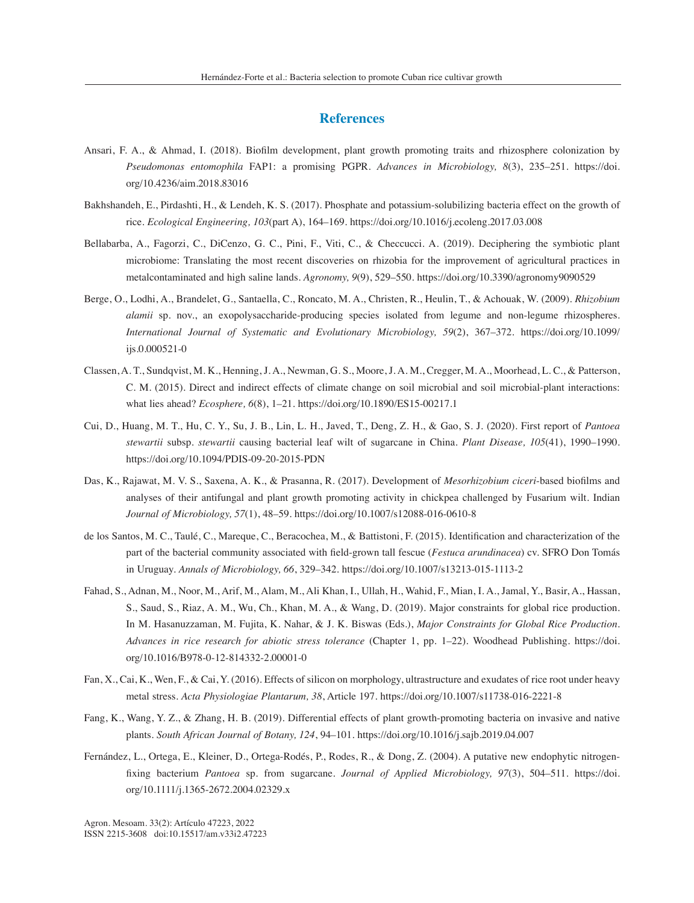# **References**

- Ansari, F. A., & Ahmad, I. (2018). Biofilm development, plant growth promoting traits and rhizosphere colonization by *Pseudomonas entomophila* FAP1: a promising PGPR. *Advances in Microbiology, 8*(3), 235–251. https://doi. org/10.4236/aim.2018.83016
- Bakhshandeh, E., Pirdashti, H., & Lendeh, K. S. (2017). Phosphate and potassium-solubilizing bacteria effect on the growth of rice. *Ecological Engineering, 103*(part A), 164–169. https://doi.org/10.1016/j.ecoleng.2017.03.008
- Bellabarba, A., Fagorzi, C., DiCenzo, G. C., Pini, F., Viti, C., & Checcucci. A. (2019). Deciphering the symbiotic plant microbiome: Translating the most recent discoveries on rhizobia for the improvement of agricultural practices in metalcontaminated and high saline lands. *Agronomy, 9*(9), 529–550. https://doi.org/10.3390/agronomy9090529
- Berge, O., Lodhi, A., Brandelet, G., Santaella, C., Roncato, M. A., Christen, R., Heulin, T., & Achouak, W. (2009). *Rhizobium alamii* sp. nov., an exopolysaccharide-producing species isolated from legume and non-legume rhizospheres. *International Journal of Systematic and Evolutionary Microbiology, 59*(2), 367–372. https://doi.org/10.1099/ ijs.0.000521-0
- Classen, A. T., Sundqvist, M. K., Henning, J. A., Newman, G. S., Moore, J. A. M., Cregger, M. A., Moorhead, L. C., & Patterson, C. M. (2015). Direct and indirect effects of climate change on soil microbial and soil microbial-plant interactions: what lies ahead? *Ecosphere, 6*(8), 1–21. https://doi.org/10.1890/ES15-00217.1
- Cui, D., Huang, M. T., Hu, C. Y., Su, J. B., Lin, L. H., Javed, T., Deng, Z. H., & Gao, S. J. (2020). First report of *Pantoea stewartii* subsp. *stewartii* causing bacterial leaf wilt of sugarcane in China. *Plant Disease, 105*(41), 1990–1990. https://doi.org/10.1094/PDIS-09-20-2015-PDN
- Das, K., Rajawat, M. V. S., Saxena, A. K., & Prasanna, R. (2017). Development of *Mesorhizobium ciceri*-based biofilms and analyses of their antifungal and plant growth promoting activity in chickpea challenged by Fusarium wilt. Indian *Journal of Microbiology, 57*(1), 48–59. https://doi.org/10.1007/s12088-016-0610-8
- de los Santos, M. C., Taulé, C., Mareque, C., Beracochea, M., & Battistoni, F. (2015). Identification and characterization of the part of the bacterial community associated with field-grown tall fescue (*Festuca arundinacea*) cv. SFRO Don Tomás in Uruguay. *Annals of Microbiology, 66*, 329–342. https://doi.org/10.1007/s13213-015-1113-2
- Fahad, S., Adnan, M., Noor, M., Arif, M., Alam, M., Ali Khan, I., Ullah, H., Wahid, F., Mian, I. A., Jamal, Y., Basir, A., Hassan, S., Saud, S., Riaz, A. M., Wu, Ch., Khan, M. A., & Wang, D. (2019). Major constraints for global rice production. In M. Hasanuzzaman, M. Fujita, K. Nahar, & J. K. Biswas (Eds.), *Major Constraints for Global Rice Production. Advances in rice research for abiotic stress tolerance* (Chapter 1, pp. 1–22). Woodhead Publishing. https://doi. org/10.1016/B978-0-12-814332-2.00001-0
- Fan, X., Cai, K., Wen, F., & Cai, Y. (2016). Effects of silicon on morphology, ultrastructure and exudates of rice root under heavy metal stress. *Acta Physiologiae Plantarum, 38*, Article 197. https://doi.org/10.1007/s11738-016-2221-8
- Fang, K., Wang, Y. Z., & Zhang, H. B. (2019). Differential effects of plant growth-promoting bacteria on invasive and native plants. *South African Journal of Botany, 124*, 94–101. https://doi.org/10.1016/j.sajb.2019.04.007
- Fernández, L., Ortega, E., Kleiner, D., Ortega-Rodés, P., Rodes, R., & Dong, Z. (2004). A putative new endophytic nitrogenfixing bacterium *Pantoea* sp. from sugarcane. *Journal of Applied Microbiology, 97*(3), 504–511. https://doi. org/10.1111/j.1365-2672.2004.02329.x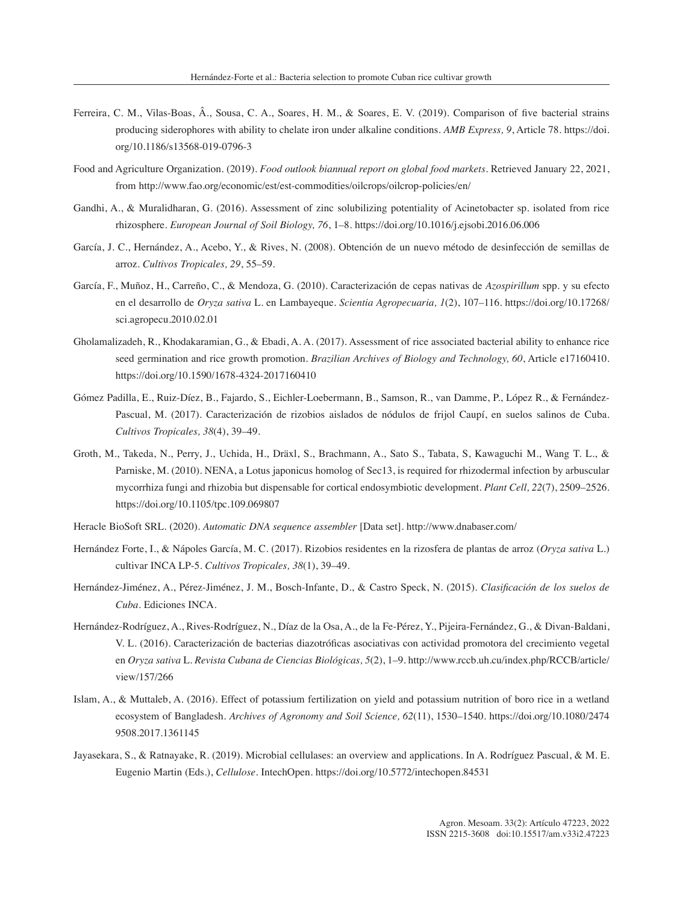- Ferreira, C. M., Vilas-Boas, Â., Sousa, C. A., Soares, H. M., & Soares, E. V. (2019). Comparison of five bacterial strains producing siderophores with ability to chelate iron under alkaline conditions. *AMB Express, 9*, Article 78. https://doi. org/10.1186/s13568-019-0796-3
- Food and Agriculture Organization. (2019). *Food outlook biannual report on global food markets*. Retrieved January 22, 2021, from http://www.fao.org/economic/est/est-commodities/oilcrops/oilcrop-policies/en/
- Gandhi, A., & Muralidharan, G. (2016). Assessment of zinc solubilizing potentiality of Acinetobacter sp. isolated from rice rhizosphere. *European Journal of Soil Biology, 76*, 1–8. https://doi.org/10.1016/j.ejsobi.2016.06.006
- García, J. C., Hernández, A., Acebo, Y., & Rives, N. (2008). Obtención de un nuevo método de desinfección de semillas de arroz. *Cultivos Tropicales, 29*, 55–59.
- García, F., Muñoz, H., Carreño, C., & Mendoza, G. (2010). Caracterización de cepas nativas de *Azospirillum* spp. y su efecto en el desarrollo de *Oryza sativa* L. en Lambayeque. *Scientia Agropecuaria, 1*(2), 107–116. https://doi.org/10.17268/ sci.agropecu.2010.02.01
- Gholamalizadeh, R., Khodakaramian, G., & Ebadi, A. A. (2017). Assessment of rice associated bacterial ability to enhance rice seed germination and rice growth promotion. *Brazilian Archives of Biology and Technology, 60*, Article e17160410. https://doi.org/10.1590/1678-4324-2017160410
- Gómez Padilla, E., Ruiz-Díez, B., Fajardo, S., Eichler-Loebermann, B., Samson, R., van Damme, P., López R., & Fernández-Pascual, M. (2017). Caracterización de rizobios aislados de nódulos de frijol Caupí, en suelos salinos de Cuba. *Cultivos Tropicales, 38*(4), 39–49.
- Groth, M., Takeda, N., Perry, J., Uchida, H., Dräxl, S., Brachmann, A., Sato S., Tabata, S, Kawaguchi M., Wang T. L., & Parniske, M. (2010). NENA, a Lotus japonicus homolog of Sec13, is required for rhizodermal infection by arbuscular mycorrhiza fungi and rhizobia but dispensable for cortical endosymbiotic development. *Plant Cell, 22*(7), 2509–2526. https://doi.org/10.1105/tpc.109.069807
- Heracle BioSoft SRL. (2020). *Automatic DNA sequence assembler* [Data set]. http://www.dnabaser.com/
- Hernández Forte, I., & Nápoles García, M. C. (2017). Rizobios residentes en la rizosfera de plantas de arroz (*Oryza sativa* L.) cultivar INCA LP-5. *Cultivos Tropicales, 38*(1), 39–49.
- Hernández-Jiménez, A., Pérez-Jiménez, J. M., Bosch-Infante, D., & Castro Speck, N. (2015). *Clasificación de los suelos de Cuba*. Ediciones INCA.
- Hernández-Rodríguez, A., Rives-Rodríguez, N., Díaz de la Osa, A., de la Fe-Pérez, Y., Pijeira-Fernández, G., & Divan-Baldani, V. L. (2016). Caracterización de bacterias diazotróficas asociativas con actividad promotora del crecimiento vegetal en *Oryza sativa* L. *Revista Cubana de Ciencias Biológicas, 5*(2), 1–9. http://www.rccb.uh.cu/index.php/RCCB/article/ view/157/266
- Islam, A., & Muttaleb, A. (2016). Effect of potassium fertilization on yield and potassium nutrition of boro rice in a wetland ecosystem of Bangladesh. *Archives of Agronomy and Soil Science, 62*(11), 1530–1540. https://doi.org/10.1080/2474 9508.2017.1361145
- Jayasekara, S., & Ratnayake, R. (2019). Microbial cellulases: an overview and applications. In A. Rodríguez Pascual, & M. E. Eugenio Martin (Eds.), *Cellulose*. IntechOpen. https://doi.org/10.5772/intechopen.84531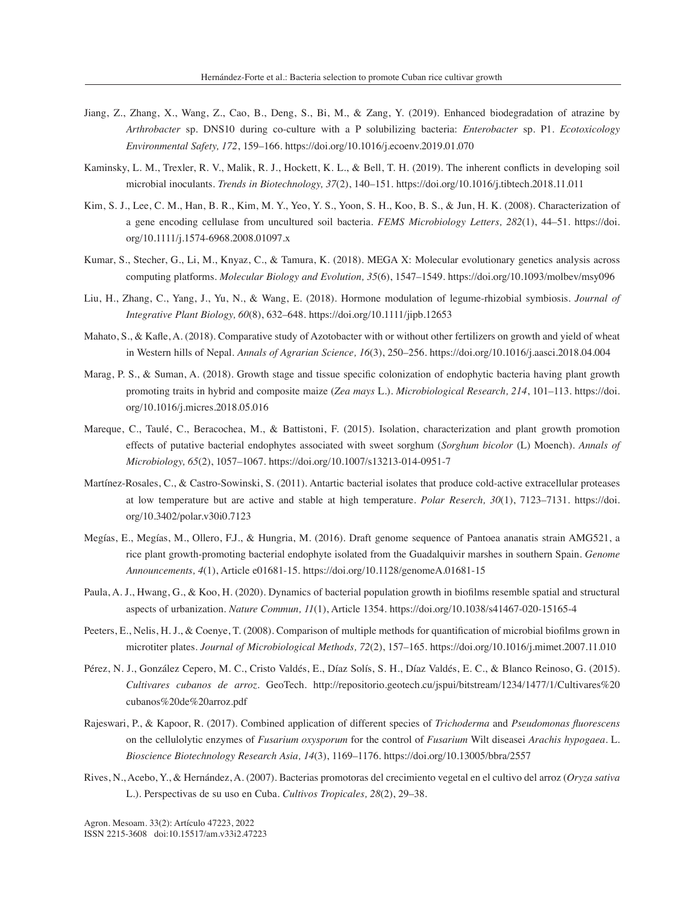- Jiang, Z., Zhang, X., Wang, Z., Cao, B., Deng, S., Bi, M., & Zang, Y. (2019). Enhanced biodegradation of atrazine by *Arthrobacter* sp. DNS10 during co-culture with a P solubilizing bacteria: *Enterobacter* sp. P1. *Ecotoxicology Environmental Safety, 172*, 159–166. https://doi.org/10.1016/j.ecoenv.2019.01.070
- Kaminsky, L. M., Trexler, R. V., Malik, R. J., Hockett, K. L., & Bell, T. H. (2019). The inherent conflicts in developing soil microbial inoculants. *Trends in Biotechnology, 37*(2), 140–151. https://doi.org/10.1016/j.tibtech.2018.11.011
- Kim, S. J., Lee, C. M., Han, B. R., Kim, M. Y., Yeo, Y. S., Yoon, S. H., Koo, B. S., & Jun, H. K. (2008). Characterization of a gene encoding cellulase from uncultured soil bacteria. *FEMS Microbiology Letters, 282*(1), 44–51. https://doi. org/10.1111/j.1574-6968.2008.01097.x
- Kumar, S., Stecher, G., Li, M., Knyaz, C., & Tamura, K. (2018). MEGA X: Molecular evolutionary genetics analysis across computing platforms. *Molecular Biology and Evolution, 35*(6), 1547–1549. https://doi.org/10.1093/molbev/msy096
- Liu, H., Zhang, C., Yang, J., Yu, N., & Wang, E. (2018). Hormone modulation of legume-rhizobial symbiosis. *Journal of Integrative Plant Biology, 60*(8), 632–648. https://doi.org/10.1111/jipb.12653
- Mahato, S., & Kafle, A. (2018). Comparative study of Azotobacter with or without other fertilizers on growth and yield of wheat in Western hills of Nepal. *Annals of Agrarian Science, 16*(3), 250–256. https://doi.org/10.1016/j.aasci.2018.04.004
- Marag, P. S., & Suman, A. (2018). Growth stage and tissue specific colonization of endophytic bacteria having plant growth promoting traits in hybrid and composite maize (*Zea mays* L.). *Microbiological Research, 214*, 101–113. https://doi. org/10.1016/j.micres.2018.05.016
- Mareque, C., Taulé, C., Beracochea, M., & Battistoni, F. (2015). Isolation, characterization and plant growth promotion effects of putative bacterial endophytes associated with sweet sorghum (*Sorghum bicolor* (L) Moench). *Annals of Microbiology, 65*(2), 1057–1067. https://doi.org/10.1007/s13213-014-0951-7
- Martínez-Rosales, C., & Castro-Sowinski, S. (2011). Antartic bacterial isolates that produce cold-active extracellular proteases at low temperature but are active and stable at high temperature. *Polar Reserch, 30*(1), 7123–7131. https://doi. org/10.3402/polar.v30i0.7123
- Megías, E., Megías, M., Ollero, F.J., & Hungria, M. (2016). Draft genome sequence of Pantoea ananatis strain AMG521, a rice plant growth-promoting bacterial endophyte isolated from the Guadalquivir marshes in southern Spain. *Genome Announcements, 4*(1), Article e01681-15. https://doi.org/10.1128/genomeA.01681-15
- Paula, A. J., Hwang, G., & Koo, H. (2020). Dynamics of bacterial population growth in biofilms resemble spatial and structural aspects of urbanization. *Nature Commun, 11*(1), Article 1354. https://doi.org/10.1038/s41467-020-15165-4
- Peeters, E., Nelis, H. J., & Coenye, T. (2008). Comparison of multiple methods for quantification of microbial biofilms grown in microtiter plates. *Journal of Microbiological Methods, 72*(2), 157–165. https://doi.org/10.1016/j.mimet.2007.11.010
- Pérez, N. J., González Cepero, M. C., Cristo Valdés, E., Díaz Solís, S. H., Díaz Valdés, E. C., & Blanco Reinoso, G. (2015). *Cultivares cubanos de arroz*. GeoTech. http://repositorio.geotech.cu/jspui/bitstream/1234/1477/1/Cultivares%20 cubanos%20de%20arroz.pdf
- Rajeswari, P., & Kapoor, R. (2017). Combined application of different species of *Trichoderma* and *Pseudomonas fluorescens*  on the cellulolytic enzymes of *Fusarium oxysporum* for the control of *Fusarium* Wilt diseasei *Arachis hypogaea*. L. *Bioscience Biotechnology Research Asia, 14*(3), 1169–1176. https://doi.org/10.13005/bbra/2557
- Rives, N., Acebo, Y., & Hernández, A. (2007). Bacterias promotoras del crecimiento vegetal en el cultivo del arroz (*Oryza sativa*  L.). Perspectivas de su uso en Cuba. *Cultivos Tropicales, 28*(2), 29–38.